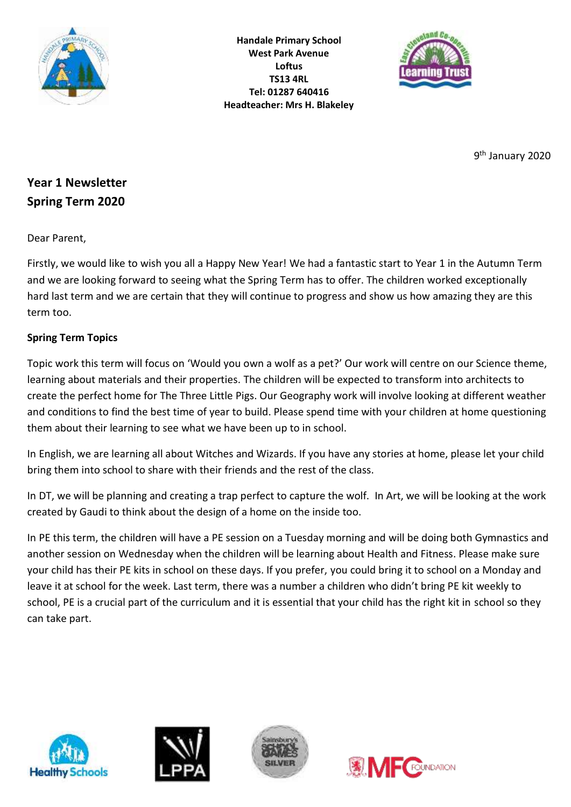

**Handale Primary School West Park Avenue Loftus TS13 4RL Tel: 01287 640416 Headteacher: Mrs H. Blakeley**



9<sup>th</sup> January 2020

# **Year 1 Newsletter Spring Term 2020**

Dear Parent,

Firstly, we would like to wish you all a Happy New Year! We had a fantastic start to Year 1 in the Autumn Term and we are looking forward to seeing what the Spring Term has to offer. The children worked exceptionally hard last term and we are certain that they will continue to progress and show us how amazing they are this term too.

## **Spring Term Topics**

Topic work this term will focus on 'Would you own a wolf as a pet?' Our work will centre on our Science theme, learning about materials and their properties. The children will be expected to transform into architects to create the perfect home for The Three Little Pigs. Our Geography work will involve looking at different weather and conditions to find the best time of year to build. Please spend time with your children at home questioning them about their learning to see what we have been up to in school.

In English, we are learning all about Witches and Wizards. If you have any stories at home, please let your child bring them into school to share with their friends and the rest of the class.

In DT, we will be planning and creating a trap perfect to capture the wolf. In Art, we will be looking at the work created by Gaudi to think about the design of a home on the inside too.

In PE this term, the children will have a PE session on a Tuesday morning and will be doing both Gymnastics and another session on Wednesday when the children will be learning about Health and Fitness. Please make sure your child has their PE kits in school on these days. If you prefer, you could bring it to school on a Monday and leave it at school for the week. Last term, there was a number a children who didn't bring PE kit weekly to school, PE is a crucial part of the curriculum and it is essential that your child has the right kit in school so they can take part.